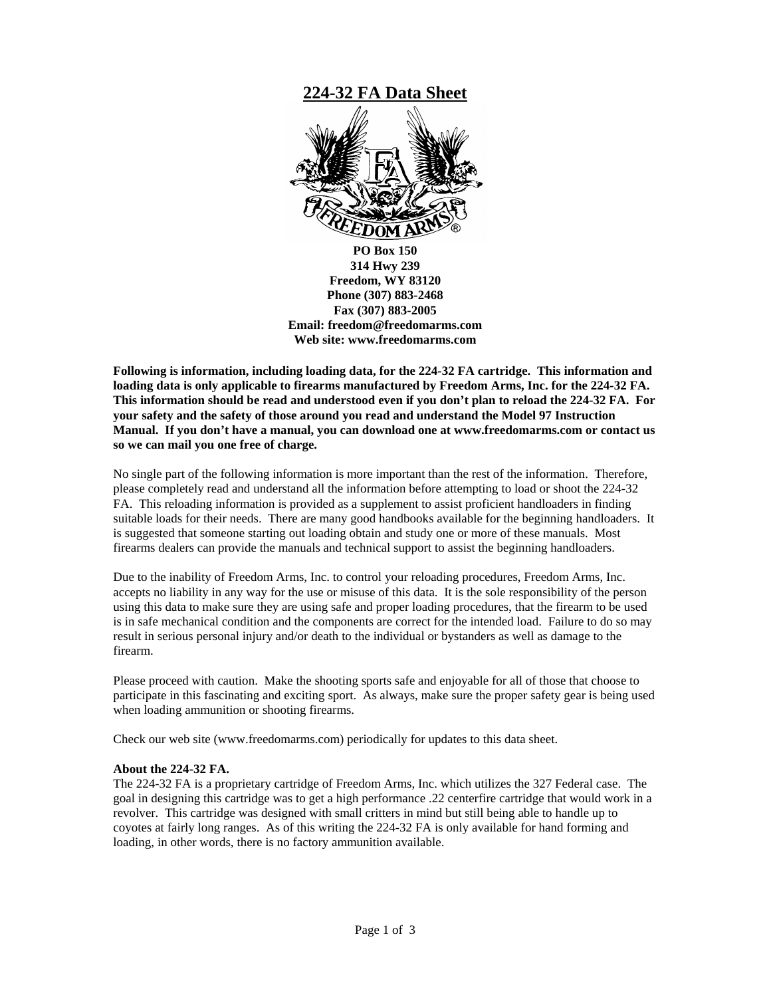

**Following is information, including loading data, for the 224-32 FA cartridge. This information and loading data is only applicable to firearms manufactured by Freedom Arms, Inc. for the 224-32 FA. This information should be read and understood even if you don't plan to reload the 224-32 FA. For your safety and the safety of those around you read and understand the Model 97 Instruction Manual. If you don't have a manual, you can download one at www.freedomarms.com or contact us so we can mail you one free of charge.** 

No single part of the following information is more important than the rest of the information. Therefore, please completely read and understand all the information before attempting to load or shoot the 224-32 FA. This reloading information is provided as a supplement to assist proficient handloaders in finding suitable loads for their needs. There are many good handbooks available for the beginning handloaders. It is suggested that someone starting out loading obtain and study one or more of these manuals. Most firearms dealers can provide the manuals and technical support to assist the beginning handloaders.

Due to the inability of Freedom Arms, Inc. to control your reloading procedures, Freedom Arms, Inc. accepts no liability in any way for the use or misuse of this data. It is the sole responsibility of the person using this data to make sure they are using safe and proper loading procedures, that the firearm to be used is in safe mechanical condition and the components are correct for the intended load. Failure to do so may result in serious personal injury and/or death to the individual or bystanders as well as damage to the firearm.

Please proceed with caution. Make the shooting sports safe and enjoyable for all of those that choose to participate in this fascinating and exciting sport. As always, make sure the proper safety gear is being used when loading ammunition or shooting firearms.

Check our web site (www.freedomarms.com) periodically for updates to this data sheet.

#### **About the 224-32 FA.**

The 224-32 FA is a proprietary cartridge of Freedom Arms, Inc. which utilizes the 327 Federal case. The goal in designing this cartridge was to get a high performance .22 centerfire cartridge that would work in a revolver. This cartridge was designed with small critters in mind but still being able to handle up to coyotes at fairly long ranges. As of this writing the 224-32 FA is only available for hand forming and loading, in other words, there is no factory ammunition available.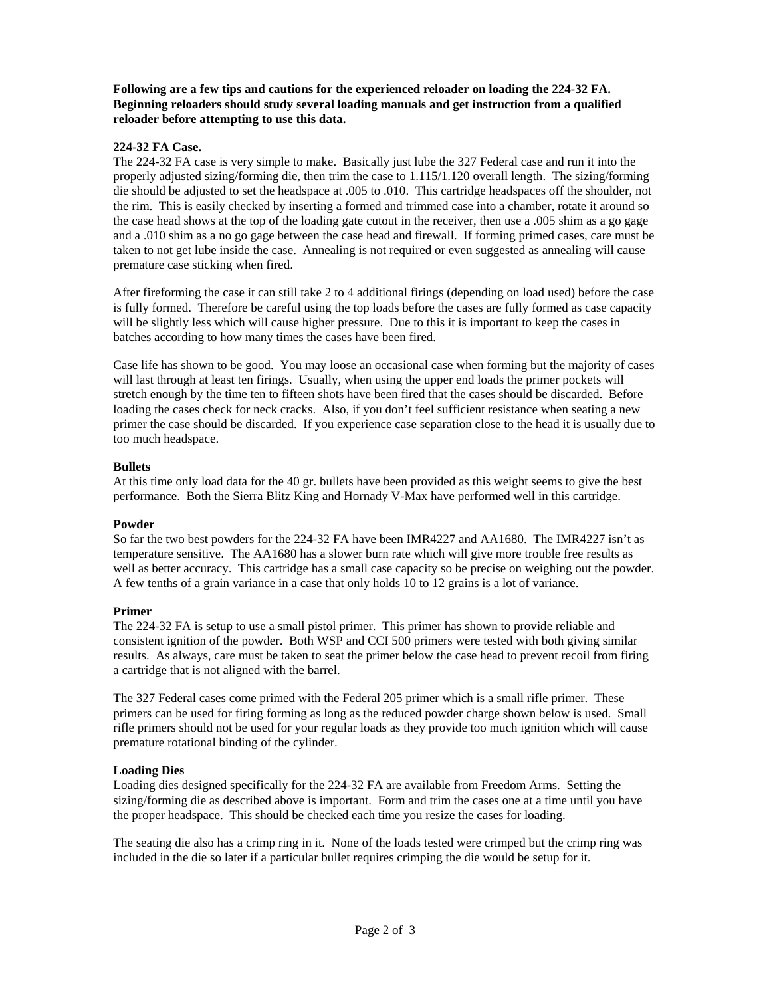#### **Following are a few tips and cautions for the experienced reloader on loading the 224-32 FA. Beginning reloaders should study several loading manuals and get instruction from a qualified reloader before attempting to use this data.**

#### **224-32 FA Case.**

The 224-32 FA case is very simple to make. Basically just lube the 327 Federal case and run it into the properly adjusted sizing/forming die, then trim the case to 1.115/1.120 overall length. The sizing/forming die should be adjusted to set the headspace at .005 to .010. This cartridge headspaces off the shoulder, not the rim. This is easily checked by inserting a formed and trimmed case into a chamber, rotate it around so the case head shows at the top of the loading gate cutout in the receiver, then use a .005 shim as a go gage and a .010 shim as a no go gage between the case head and firewall. If forming primed cases, care must be taken to not get lube inside the case. Annealing is not required or even suggested as annealing will cause premature case sticking when fired.

After fireforming the case it can still take 2 to 4 additional firings (depending on load used) before the case is fully formed. Therefore be careful using the top loads before the cases are fully formed as case capacity will be slightly less which will cause higher pressure. Due to this it is important to keep the cases in batches according to how many times the cases have been fired.

Case life has shown to be good. You may loose an occasional case when forming but the majority of cases will last through at least ten firings. Usually, when using the upper end loads the primer pockets will stretch enough by the time ten to fifteen shots have been fired that the cases should be discarded. Before loading the cases check for neck cracks. Also, if you don't feel sufficient resistance when seating a new primer the case should be discarded. If you experience case separation close to the head it is usually due to too much headspace.

#### **Bullets**

At this time only load data for the 40 gr. bullets have been provided as this weight seems to give the best performance. Both the Sierra Blitz King and Hornady V-Max have performed well in this cartridge.

#### **Powder**

So far the two best powders for the 224-32 FA have been IMR4227 and AA1680. The IMR4227 isn't as temperature sensitive. The AA1680 has a slower burn rate which will give more trouble free results as well as better accuracy. This cartridge has a small case capacity so be precise on weighing out the powder. A few tenths of a grain variance in a case that only holds 10 to 12 grains is a lot of variance.

#### **Primer**

The 224-32 FA is setup to use a small pistol primer. This primer has shown to provide reliable and consistent ignition of the powder. Both WSP and CCI 500 primers were tested with both giving similar results. As always, care must be taken to seat the primer below the case head to prevent recoil from firing a cartridge that is not aligned with the barrel.

The 327 Federal cases come primed with the Federal 205 primer which is a small rifle primer. These primers can be used for firing forming as long as the reduced powder charge shown below is used. Small rifle primers should not be used for your regular loads as they provide too much ignition which will cause premature rotational binding of the cylinder.

#### **Loading Dies**

Loading dies designed specifically for the 224-32 FA are available from Freedom Arms. Setting the sizing/forming die as described above is important. Form and trim the cases one at a time until you have the proper headspace. This should be checked each time you resize the cases for loading.

The seating die also has a crimp ring in it. None of the loads tested were crimped but the crimp ring was included in the die so later if a particular bullet requires crimping the die would be setup for it.